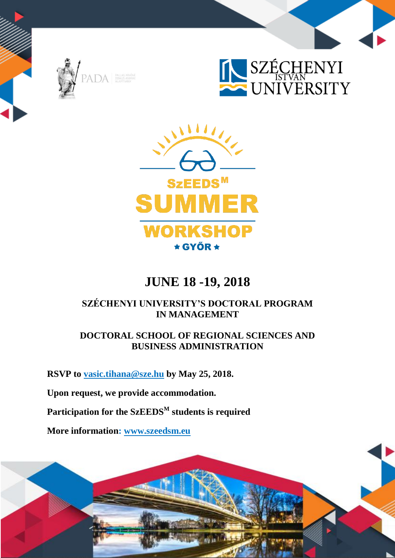





# **JUNE 18 -19, 2018**

# **SZÉCHENYI UNIVERSITY'S DOCTORAL PROGRAM IN MANAGEMENT**

### **DOCTORAL SCHOOL OF REGIONAL SCIENCES AND BUSINESS ADMINISTRATION**

**RSVP to [vasic.tihana@sze.hu](mailto:vasic.tihana@sze.hu) by May 25, 2018.**

**Upon request, we provide accommodation.**

**Participation for the SzEEDS<sup>M</sup> students is required**

**More information: [www.szeedsm.eu](http://www.szeedsm.eu/)**

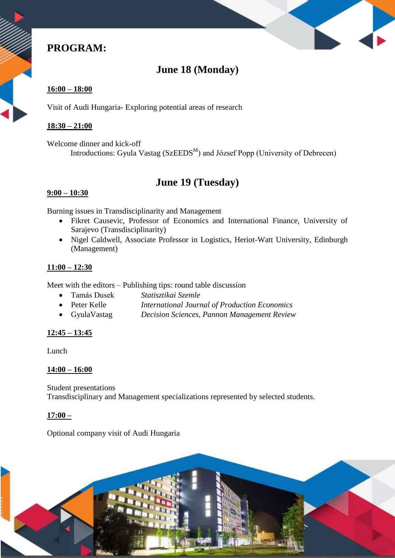# **PROGRAM:**

# **June 18 (Monday)**

### **16:00 – 18:00**

Visit of Audi Hungaria- Exploring potential areas of research

#### **18:30 – 21:00**

Welcome dinner and kick-off Introductions: Gyula Vastag (SzEEDS<sup>M</sup>) and József Popp (University of Debrecen)

## **June 19 (Tuesday)**

### **9:00 – 10:30**

Burning issues in Transdisciplinarity and Management

- Fikret Causevic, Professor of Economics and International Finance, University of Sarajevo (Transdisciplinarity)
- Nigel Caldwell, Associate Professor in Logistics, Heriot-Watt University, Edinburgh (Management)

### **11:00 – 12:30**

Meet with the editors – Publishing tips: round table discussion

- Tamás Dusek *Statisztikai Szemle*
- Peter Kelle *International Journal of Production Economics*
- GyulaVastag *Decision Sciences, Pannon Management Review*

### **12:45 – 13:45**

Lunch

#### **14:00 – 16:00**

Student presentations Transdisciplinary and Management specializations represented by selected students.

#### **17:00 –**

Optional company visit of Audi Hungaria

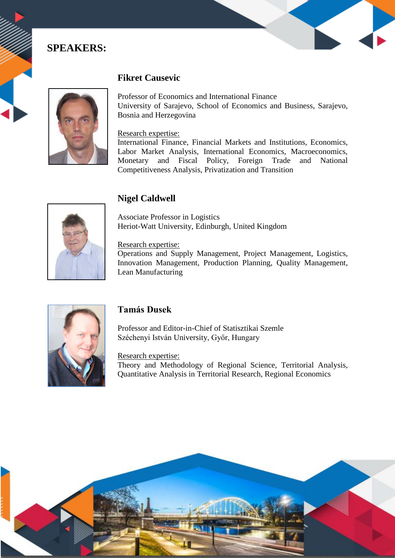### **SPEAKERS:**



### **Fikret Causevic**

Professor of Economics and International Finance University of Sarajevo, School of Economics and Business, Sarajevo, Bosnia and Herzegovina

#### Research expertise:

International Finance, Financial Markets and Institutions, Economics, Labor Market Analysis, International Economics, Macroeconomics, Monetary and Fiscal Policy, Foreign Trade and National Competitiveness Analysis, Privatization and Transition



### **Nigel Caldwell**

Associate Professor in Logistics Heriot-Watt University, Edinburgh, United Kingdom

#### Research expertise:

Operations and Supply Management, Project Management, Logistics, Innovation Management, Production Planning, Quality Management, Lean Manufacturing



### **Tamás Dusek**

Professor and Editor-in-Chief of Statisztikai Szemle Széchenyi István University, Győr, Hungary

#### Research expertise:

Theory and Methodology of Regional Science, Territorial Analysis, Quantitative Analysis in Territorial Research, Regional Economics